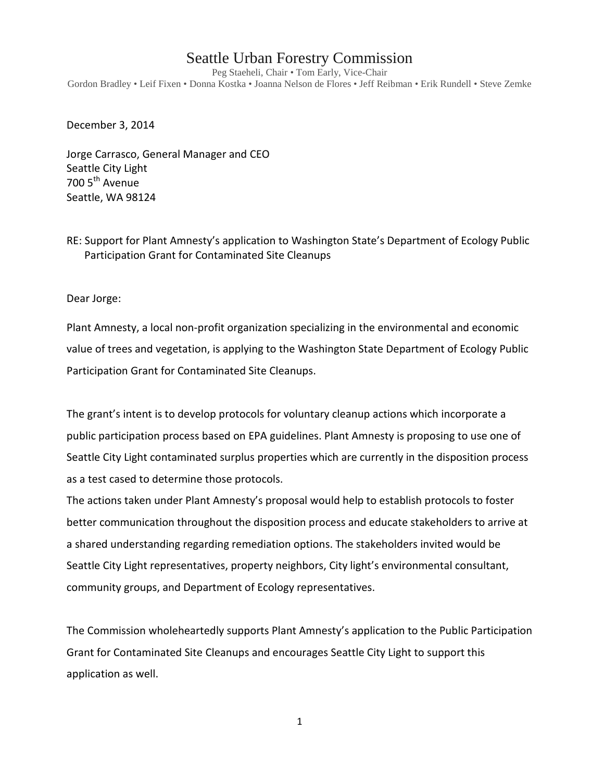## Seattle Urban Forestry Commission

Peg Staeheli, Chair • Tom Early, Vice-Chair Gordon Bradley • Leif Fixen • Donna Kostka • Joanna Nelson de Flores • Jeff Reibman • Erik Rundell • Steve Zemke

December 3, 2014

Jorge Carrasco, General Manager and CEO Seattle City Light 700 5<sup>th</sup> Avenue Seattle, WA 98124

RE: Support for Plant Amnesty's application to Washington State's Department of Ecology Public Participation Grant for Contaminated Site Cleanups

Dear Jorge:

Plant Amnesty, a local non-profit organization specializing in the environmental and economic value of trees and vegetation, is applying to the Washington State Department of Ecology Public Participation Grant for Contaminated Site Cleanups.

The grant's intent is to develop protocols for voluntary cleanup actions which incorporate a public participation process based on EPA guidelines. Plant Amnesty is proposing to use one of Seattle City Light contaminated surplus properties which are currently in the disposition process as a test cased to determine those protocols.

The actions taken under Plant Amnesty's proposal would help to establish protocols to foster better communication throughout the disposition process and educate stakeholders to arrive at a shared understanding regarding remediation options. The stakeholders invited would be Seattle City Light representatives, property neighbors, City light's environmental consultant, community groups, and Department of Ecology representatives.

The Commission wholeheartedly supports Plant Amnesty's application to the Public Participation Grant for Contaminated Site Cleanups and encourages Seattle City Light to support this application as well.

1